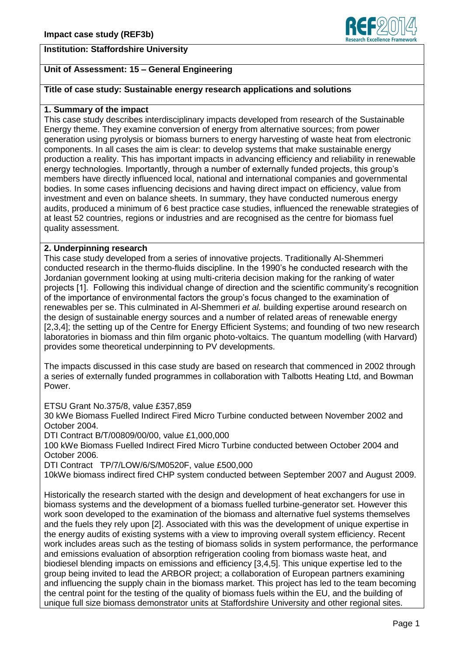## **Institution: Staffordshire University**



# **Unit of Assessment: 15 – General Engineering**

# **Title of case study: Sustainable energy research applications and solutions**

### **1. Summary of the impact**

This case study describes interdisciplinary impacts developed from research of the Sustainable Energy theme. They examine conversion of energy from alternative sources; from power generation using pyrolysis or biomass burners to energy harvesting of waste heat from electronic components. In all cases the aim is clear: to develop systems that make sustainable energy production a reality. This has important impacts in advancing efficiency and reliability in renewable energy technologies. Importantly, through a number of externally funded projects, this group's members have directly influenced local, national and international companies and governmental bodies. In some cases influencing decisions and having direct impact on efficiency, value from investment and even on balance sheets. In summary, they have conducted numerous energy audits, produced a minimum of 6 best practice case studies, influenced the renewable strategies of at least 52 countries, regions or industries and are recognised as the centre for biomass fuel quality assessment.

### **2. Underpinning research**

This case study developed from a series of innovative projects. Traditionally Al-Shemmeri conducted research in the thermo-fluids discipline. In the 1990's he conducted research with the Jordanian government looking at using multi-criteria decision making for the ranking of water projects [1]. Following this individual change of direction and the scientific community's recognition of the importance of environmental factors the group's focus changed to the examination of renewables per se. This culminated in Al-Shemmeri *et al.* building expertise around research on the design of sustainable energy sources and a number of related areas of renewable energy [2,3,4]; the setting up of the Centre for Energy Efficient Systems; and founding of two new research laboratories in biomass and thin film organic photo-voltaics. The quantum modelling (with Harvard) provides some theoretical underpinning to PV developments.

The impacts discussed in this case study are based on research that commenced in 2002 through a series of externally funded programmes in collaboration with Talbotts Heating Ltd, and Bowman Power.

ETSU Grant No.375/8, value £357,859

30 kWe Biomass Fuelled Indirect Fired Micro Turbine conducted between November 2002 and October 2004.

DTI Contract B/T/00809/00/00, value £1,000,000

100 kWe Biomass Fuelled Indirect Fired Micro Turbine conducted between October 2004 and October 2006.

DTI Contract TP/7/LOW/6/S/M0520F, value £500,000

10kWe biomass indirect fired CHP system conducted between September 2007 and August 2009.

Historically the research started with the design and development of heat exchangers for use in biomass systems and the development of a biomass fuelled turbine-generator set. However this work soon developed to the examination of the biomass and alternative fuel systems themselves and the fuels they rely upon [2]. Associated with this was the development of unique expertise in the energy audits of existing systems with a view to improving overall system efficiency. Recent work includes areas such as the testing of biomass solids in system performance, the performance and emissions evaluation of absorption refrigeration cooling from biomass waste heat, and biodiesel blending impacts on emissions and efficiency [3,4,5]. This unique expertise led to the group being invited to lead the ARBOR project; a collaboration of European partners examining and influencing the supply chain in the biomass market. This project has led to the team becoming the central point for the testing of the quality of biomass fuels within the EU, and the building of unique full size biomass demonstrator units at Staffordshire University and other regional sites.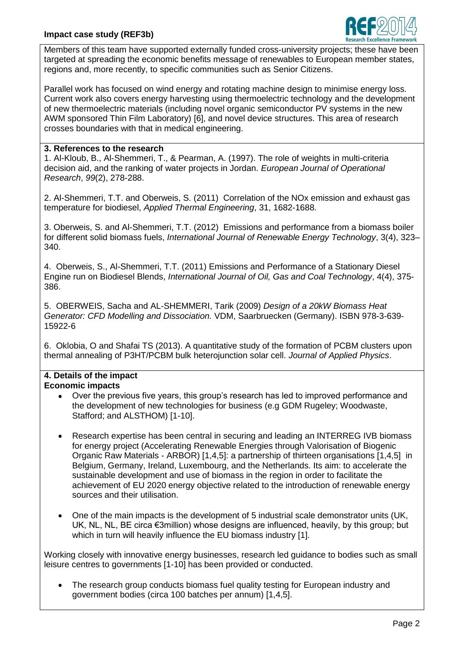# **Impact case study (REF3b)**



Members of this team have supported externally funded cross-university projects; these have been targeted at spreading the economic benefits message of renewables to European member states, regions and, more recently, to specific communities such as Senior Citizens.

Parallel work has focused on wind energy and rotating machine design to minimise energy loss. Current work also covers energy harvesting using thermoelectric technology and the development of new thermoelectric materials (including novel organic semiconductor PV systems in the new AWM sponsored Thin Film Laboratory) [6], and novel device structures. This area of research crosses boundaries with that in medical engineering.

### **3. References to the research**

1. Al-Kloub, B., Al-Shemmeri, T., & Pearman, A. (1997). The role of weights in multi-criteria decision aid, and the ranking of water projects in Jordan. *European Journal of Operational Research*, *99*(2), 278-288.

2. Al-Shemmeri, T.T. and Oberweis, S. (2011) Correlation of the NOx emission and exhaust gas temperature for biodiesel, *Applied Thermal Engineering*, 31, 1682-1688.

3. Oberweis, S. and Al-Shemmeri, T.T. (2012) Emissions and performance from a biomass boiler for different solid biomass fuels, *International Journal of Renewable Energy Technology*, 3(4), 323– 340.

4. Oberweis, S., Al-Shemmeri, T.T. (2011) Emissions and Performance of a Stationary Diesel Engine run on Biodiesel Blends, *International Journal of Oil, Gas and Coal Technology*, 4(4), 375- 386.

5. OBERWEIS, Sacha and AL-SHEMMERI, Tarik (2009) *Design of a 20kW Biomass Heat Generator: CFD Modelling and Dissociation.* VDM, Saarbruecken (Germany). ISBN 978-3-639- 15922-6

6. Oklobia, O and Shafai TS (2013). A quantitative study of the formation of PCBM clusters upon thermal annealing of P3HT/PCBM bulk heterojunction solar cell. *Journal of Applied Physics*.

#### **4. Details of the impact Economic impacts**

- Over the previous five years, this group's research has led to improved performance and the development of new technologies for business (e.g GDM Rugeley; Woodwaste, Stafford; and ALSTHOM) [1-10].
- Research expertise has been central in securing and leading an INTERREG IVB biomass  $\bullet$ for energy project (Accelerating Renewable Energies through Valorisation of Biogenic Organic Raw Materials - ARBOR) [1,4,5]: a partnership of thirteen organisations [1,4,5] in Belgium, Germany, Ireland, Luxembourg, and the Netherlands. Its aim: to accelerate the sustainable development and use of biomass in the region in order to facilitate the achievement of EU 2020 energy objective related to the introduction of renewable energy sources and their utilisation.
- One of the main impacts is the development of 5 industrial scale demonstrator units (UK,  $\bullet$ UK, NL, NL, BE circa €3million) whose designs are influenced, heavily, by this group; but which in turn will heavily influence the EU biomass industry [1].

Working closely with innovative energy businesses, research led guidance to bodies such as small leisure centres to governments [1-10] has been provided or conducted.

The research group conducts biomass fuel quality testing for European industry and government bodies (circa 100 batches per annum) [1,4,5].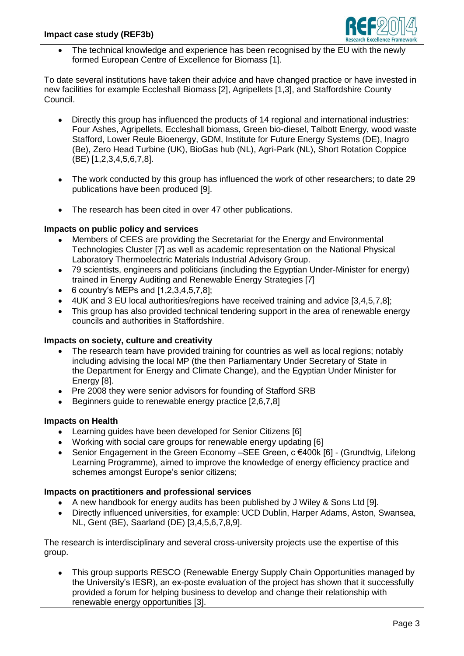

The technical knowledge and experience has been recognised by the EU with the newly formed European Centre of Excellence for Biomass [1].

To date several institutions have taken their advice and have changed practice or have invested in new facilities for example Eccleshall Biomass [2], Agripellets [1,3], and Staffordshire County Council.

- Directly this group has influenced the products of 14 regional and international industries: Four Ashes, Agripellets, Eccleshall biomass, Green bio-diesel, Talbott Energy, wood waste Stafford, Lower Reule Bioenergy, GDM, Institute for Future Energy Systems (DE), Inagro (Be), Zero Head Turbine (UK), BioGas hub (NL), Agri-Park (NL), Short Rotation Coppice (BE) [1,2,3,4,5,6,7,8].
- The work conducted by this group has influenced the work of other researchers; to date 29  $\bullet$ publications have been produced [9].
- The research has been cited in over 47 other publications.

## **Impacts on public policy and services**

- Members of CEES are providing the Secretariat for the Energy and Environmental Technologies Cluster [7] as well as academic representation on the National Physical Laboratory Thermoelectric Materials Industrial Advisory Group.
- 79 scientists, engineers and politicians (including the Egyptian Under-Minister for energy)  $\bullet$ trained in Energy Auditing and Renewable Energy Strategies [7]
- $\bullet$  6 country's MEPs and  $[1,2,3,4,5,7,8]$ ;
- 4UK and 3 EU local authorities/regions have received training and advice [3,4,5,7,8];
- This group has also provided technical tendering support in the area of renewable energy  $\bullet$ councils and authorities in Staffordshire.

## **Impacts on society, culture and creativity**

- The research team have provided training for countries as well as local regions; notably including advising the local MP (the then Parliamentary Under Secretary of State in the Department for Energy and Climate Change), and the Egyptian Under Minister for Energy [8].
- Pre 2008 they were senior advisors for founding of Stafford SRB  $\bullet$
- Beginners guide to renewable energy practice [2,6,7,8]

## **Impacts on Health**

- Learning guides have been developed for Senior Citizens [6]
- Working with social care groups for renewable energy updating [6]
- Senior Engagement in the Green Economy –SEE Green, c €400k [6] (Grundtvig, Lifelong Learning Programme), aimed to improve the knowledge of energy efficiency practice and schemes amongst Europe's senior citizens;

## **Impacts on practitioners and professional services**

- A new handbook for energy audits has been published by J Wiley & Sons Ltd [9].
- Directly influenced universities, for example: UCD Dublin, Harper Adams, Aston, Swansea, NL, Gent (BE), Saarland (DE) [3,4,5,6,7,8,9].

The research is interdisciplinary and several cross-university projects use the expertise of this group.

This group supports RESCO (Renewable Energy Supply Chain Opportunities managed by  $\bullet$ the University's IESR), an ex-poste evaluation of the project has shown that it successfully provided a forum for helping business to develop and change their relationship with renewable energy opportunities [3].